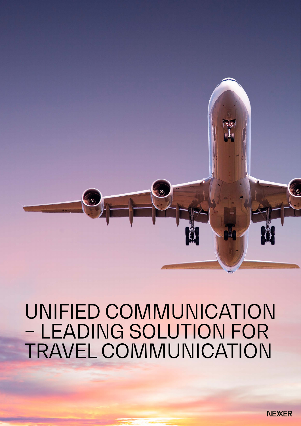

# UNIFIED COMMUNICATION – LEADING SOLUTION FOR TRAVEL COMMUNICATION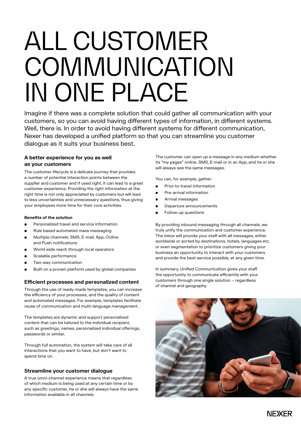# ALL CUSTOMER **COMMUNICATION** IN ONE PLACE

Imagine if there was a complete solution that could gather all communication with your customers, so you can avoid having different types of information, in different systems. Well, there is. In order to avoid having different systems for different communication, Nexer has developed a unified platform so that you can streamline you customer dialogue as it suits your business best.

# **A better experience for you as well as your customers**

The customer lifecycle is a delicate journey that provides a number of potential interaction points between the supplier and customer and if used right, it can lead to a great customer experience. Providing the right information at the right time is not only appreciated by customers but will lead to less uncertainties and unnecessary questions, thus giving your employees more time for their core activities.

#### **Benefits of the solution**

- Personalized travel and service information
- Rule based automated mass messaging
- Multiple channels: SMS, E-mail, App, Online and Push notifications
- World wide reach through local operators
- Scalable performance
- Two-way communication
- Built on a proven platform used by global companies

# **Efficient processes and personalized content**

Through the use of ready-made templates, you can increase the efficiency of your processes, and the quality of content and automated messages. For example, templates facilitate reuse of communication and multi-language management.

The templates are dynamic and support personalized content that can be tailored to the individual recipient, such as greetings, names, personalized individual offerings, passwords or similar.

Through full automation, the system will take care of all interactions that you want to have, but don't want to spend time on.

# **Streamline your customer dialogue**

A true omni-channel experience means that regardless of which medium is being used at any certain time or by any specific customer, he or she will always have the same information available in all channels.

The customer can open up a message in any medium whether its "my pages" online, SMS, E-mail or in an App, and he or she will always see the same messages.

You can, for example, gather:

- Prior-to-travel information
- Pre-arrival information
- Arrival messages
- Departure announcements
- Follow-up questions

By providing inbound messaging through all channels, we truly unify the communication and customer experience. The inbox will provide your staff with all messages, either worldwide or sorted by destinations, hotels, languages etc. or even segmentation to prioritize customers giving your business an opportunity to interact with your customers and provide the best service possible, at any given time.

In summary, Unified Communication gives your staff the opportunity to communicate efficiently with your customers through one single solution – regardless of channel and geography.